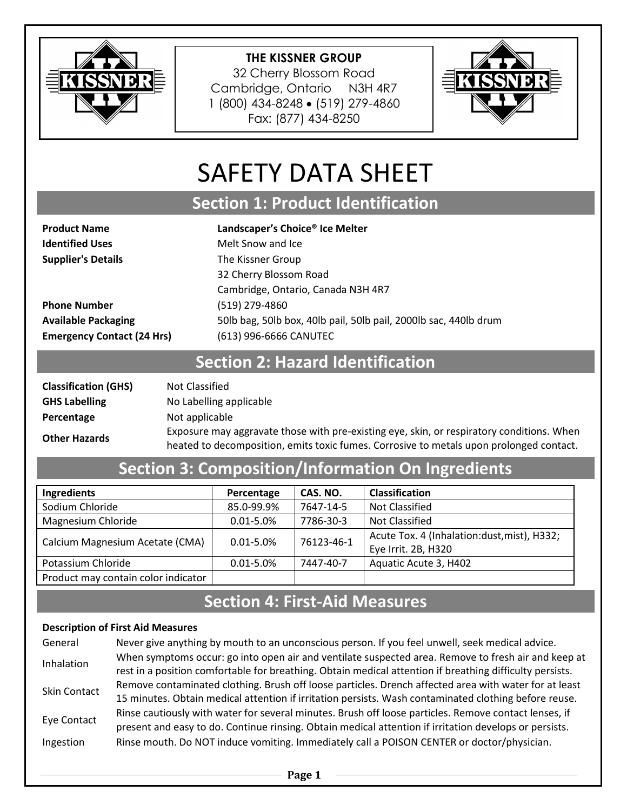

32 Cherry Blossom Road Cambridge, Ontario N3H 4R7 1 (800) 434-8248 (519) 279-4860 Fax: (877) 434-8250



# SAFETY DATA SHEET

# **Section 1: Product Identification**

**Product Name Landscaper's Choice® Ice Melter Identified Uses** Melt Snow and Ice

**Supplier's Details** The Kissner Group 32 Cherry Blossom Road Cambridge, Ontario, Canada N3H 4R7 **Phone Number** (519) 279-4860 **Available Packaging** 50lb bag, 50lb box, 40lb pail, 50lb pail, 2000lb sac, 440lb drum **Emergency Contact (24 Hrs)** (613) 996-6666 CANUTEC

### **Section 2: Hazard Identification**

| <b>Classification (GHS)</b> | Not Classified                                                                                                                   |
|-----------------------------|----------------------------------------------------------------------------------------------------------------------------------|
| <b>GHS Labelling</b>        | No Labelling applicable                                                                                                          |
| Percentage                  | Not applicable                                                                                                                   |
| <b>Other Hazards</b>        | Exposure may aggravate those with pre-existing eye, skin, or re<br>heated to decomposition, emits toxic fumes. Corrosive to meta |

Exposure may aggravate those with pre-existing eye, skin, or respiratory conditions. When<br>heated to decomposition, emits toxic fumes. Corrosive to metals upon prolonged contact.

# **Section 3: Composition/Information On Ingredients**

| Ingredients                         | Percentage     | CAS. NO.   | <b>Classification</b>                       |
|-------------------------------------|----------------|------------|---------------------------------------------|
| Sodium Chloride                     | 85.0-99.9%     | 7647-14-5  | Not Classified                              |
| Magnesium Chloride                  | $0.01 - 5.0\%$ | 7786-30-3  | Not Classified                              |
| Calcium Magnesium Acetate (CMA)     | $0.01 - 5.0%$  | 76123-46-1 | Acute Tox. 4 (Inhalation:dust, mist), H332; |
|                                     |                |            | Eye Irrit. 2B, H320                         |
| Potassium Chloride                  | $0.01 - 5.0\%$ | 7447-40-7  | Aquatic Acute 3, H402                       |
| Product may contain color indicator |                |            |                                             |

### **Section 4: First-Aid Measures**

#### **Description of First Aid Measures**

| General      | Never give anything by mouth to an unconscious person. If you feel unwell, seek medical advice.          |
|--------------|----------------------------------------------------------------------------------------------------------|
| Inhalation   | When symptoms occur: go into open air and ventilate suspected area. Remove to fresh air and keep at      |
|              | rest in a position comfortable for breathing. Obtain medical attention if breathing difficulty persists. |
| Skin Contact | Remove contaminated clothing. Brush off loose particles. Drench affected area with water for at least    |
|              | 15 minutes. Obtain medical attention if irritation persists. Wash contaminated clothing before reuse.    |
| Eye Contact  | Rinse cautiously with water for several minutes. Brush off loose particles. Remove contact lenses, if    |
|              | present and easy to do. Continue rinsing. Obtain medical attention if irritation develops or persists.   |
| Ingestion    | Rinse mouth. Do NOT induce vomiting. Immediately call a POISON CENTER or doctor/physician.               |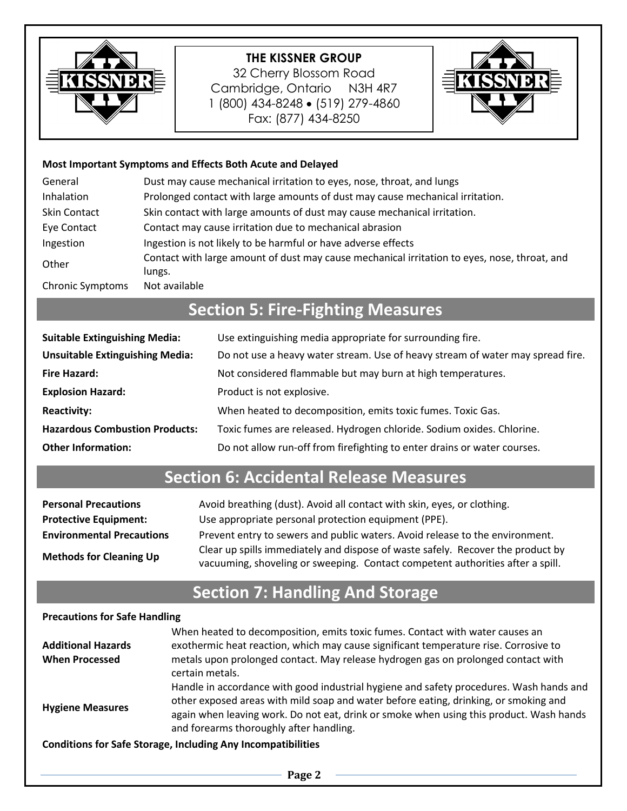

32 Cherry Blossom Road Cambridge, Ontario N3H 4R7 1 (800) 434-8248 (519) 279-4860 Fax: (877) 434-8250



#### **Most Important Symptoms and Effects Both Acute and Delayed**

| General                 | Dust may cause mechanical irritation to eyes, nose, throat, and lungs                                  |
|-------------------------|--------------------------------------------------------------------------------------------------------|
| Inhalation              | Prolonged contact with large amounts of dust may cause mechanical irritation.                          |
| <b>Skin Contact</b>     | Skin contact with large amounts of dust may cause mechanical irritation.                               |
| Eye Contact             | Contact may cause irritation due to mechanical abrasion                                                |
| Ingestion               | Ingestion is not likely to be harmful or have adverse effects                                          |
| Other                   | Contact with large amount of dust may cause mechanical irritation to eyes, nose, throat, and<br>lungs. |
| <b>Chronic Symptoms</b> | Not available                                                                                          |

# **Section 5: Fire-Fighting Measures**

| <b>Suitable Extinguishing Media:</b>   | Use extinguishing media appropriate for surrounding fire.                      |
|----------------------------------------|--------------------------------------------------------------------------------|
| <b>Unsuitable Extinguishing Media:</b> | Do not use a heavy water stream. Use of heavy stream of water may spread fire. |
| <b>Fire Hazard:</b>                    | Not considered flammable but may burn at high temperatures.                    |
| <b>Explosion Hazard:</b>               | Product is not explosive.                                                      |
| <b>Reactivity:</b>                     | When heated to decomposition, emits toxic fumes. Toxic Gas.                    |
| <b>Hazardous Combustion Products:</b>  | Toxic fumes are released. Hydrogen chloride. Sodium oxides. Chlorine.          |
| <b>Other Information:</b>              | Do not allow run-off from firefighting to enter drains or water courses.       |

# **Section 6: Accidental Release Measures**

| <b>Personal Precautions</b>      | Avoid breathing (dust). Avoid all contact with skin, eyes, or clothing.                                                                                           |
|----------------------------------|-------------------------------------------------------------------------------------------------------------------------------------------------------------------|
| <b>Protective Equipment:</b>     | Use appropriate personal protection equipment (PPE).                                                                                                              |
| <b>Environmental Precautions</b> | Prevent entry to sewers and public waters. Avoid release to the environment.                                                                                      |
| <b>Methods for Cleaning Up</b>   | Clear up spills immediately and dispose of waste safely. Recover the product by<br>vacuuming, shoveling or sweeping. Contact competent authorities after a spill. |

# **Section 7: Handling And Storage**

#### **Precautions for Safe Handling**

|                           | When heated to decomposition, emits toxic fumes. Contact with water causes an                                                                                                                                                                                                                                         |
|---------------------------|-----------------------------------------------------------------------------------------------------------------------------------------------------------------------------------------------------------------------------------------------------------------------------------------------------------------------|
| <b>Additional Hazards</b> | exothermic heat reaction, which may cause significant temperature rise. Corrosive to                                                                                                                                                                                                                                  |
| <b>When Processed</b>     | metals upon prolonged contact. May release hydrogen gas on prolonged contact with<br>certain metals.                                                                                                                                                                                                                  |
| <b>Hygiene Measures</b>   | Handle in accordance with good industrial hygiene and safety procedures. Wash hands and<br>other exposed areas with mild soap and water before eating, drinking, or smoking and<br>again when leaving work. Do not eat, drink or smoke when using this product. Wash hands<br>and forearms thoroughly after handling. |
|                           | <b>Conditions for Safe Storage, Including Any Incompatibilities</b>                                                                                                                                                                                                                                                   |

**Page 2**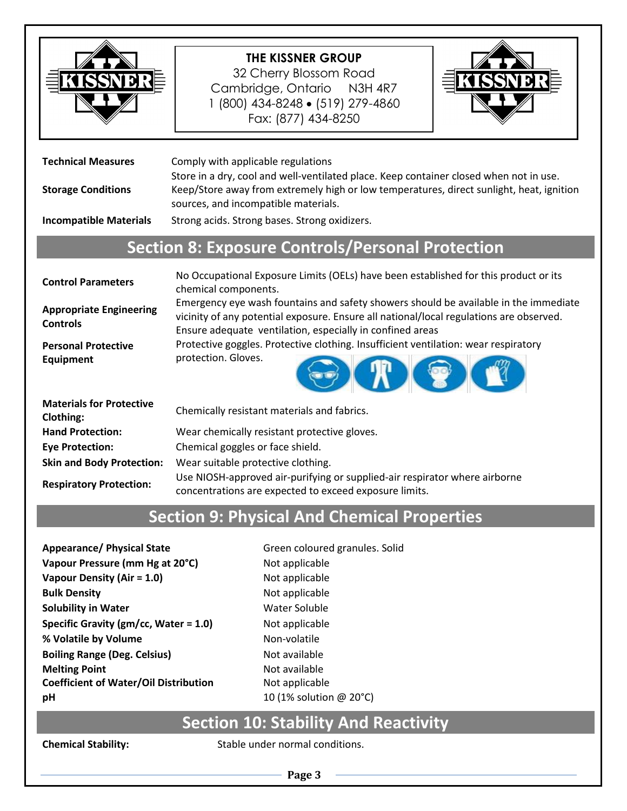

32 Cherry Blossom Road Cambridge, Ontario N3H 4R7 1 (800) 434-8248 • (519) 279-4860 Fax: (877) 434-8250



| Comply with applicable regulations<br>Store in a dry, cool and well-ventilated place. Keep container closed when not in use.<br>Keep/Store away from extremely high or low temperatures, direct sunlight, heat, ignition<br>sources, and incompatible materials.<br>Strong acids. Strong bases. Strong oxidizers.                                            |  |  |
|--------------------------------------------------------------------------------------------------------------------------------------------------------------------------------------------------------------------------------------------------------------------------------------------------------------------------------------------------------------|--|--|
| <b>Section 8: Exposure Controls/Personal Protection</b>                                                                                                                                                                                                                                                                                                      |  |  |
| No Occupational Exposure Limits (OELs) have been established for this product or its<br>chemical components.<br>Emergency eye wash fountains and safety showers should be available in the immediate<br>vicinity of any potential exposure. Ensure all national/local regulations are observed.<br>Ensure adequate ventilation, especially in confined areas |  |  |
| Protective goggles. Protective clothing. Insufficient ventilation: wear respiratory<br>protection. Gloves.                                                                                                                                                                                                                                                   |  |  |
|                                                                                                                                                                                                                                                                                                                                                              |  |  |

| <b>Materials for Protective</b><br>Clothing: | Chemically resistant materials and fabrics.                                                                                          |
|----------------------------------------------|--------------------------------------------------------------------------------------------------------------------------------------|
| <b>Hand Protection:</b>                      | Wear chemically resistant protective gloves.                                                                                         |
| <b>Eye Protection:</b>                       | Chemical goggles or face shield.                                                                                                     |
| <b>Skin and Body Protection:</b>             | Wear suitable protective clothing.                                                                                                   |
| <b>Respiratory Protection:</b>               | Use NIOSH-approved air-purifying or supplied-air respirator where airborne<br>concentrations are expected to exceed exposure limits. |

# **Section 9: Physical And Chemical Properties**

Appearance/ Physical State Green coloured granules. Solid **Vapour Pressure (mm Hg at 20°C)** Not applicable **Vapour Density (Air = 1.0)** Not applicable **Bulk Density Not applicable Solubility in Water** Water Soluble **Specific Gravity (gm/cc, Water = 1.0)** Not applicable **% Volatile by Volume** Non-volatile **Boiling Range (Deg. Celsius)** Not available **Melting Point Melting Point Melting Point Melting Point Melting Point Coefficient of Water/Oil Distribution** Not applicable **pH** 10 (1% solution @ 20°C)

### **Section 10: Stability And Reactivity**

**Chemical Stability:** Stable under normal conditions.

**Page 3**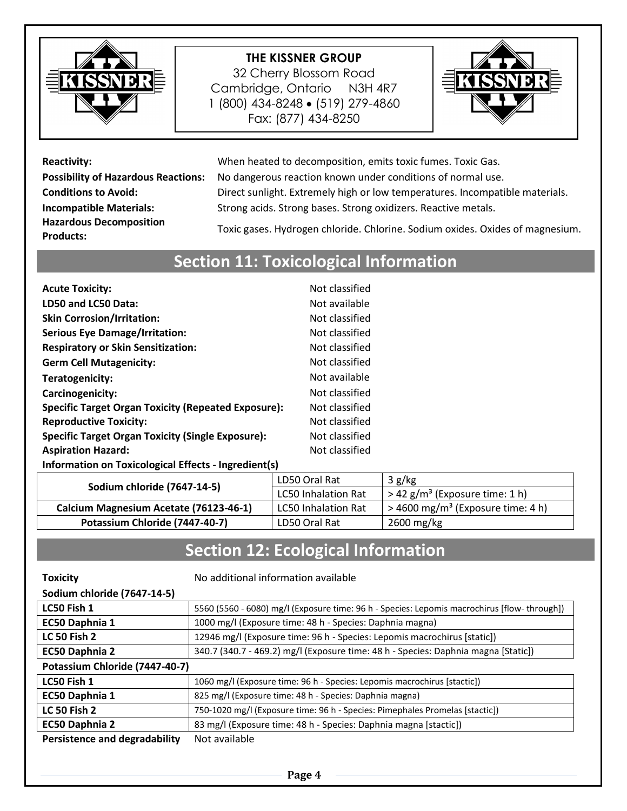

32 Cherry Blossom Road Cambridge, Ontario N3H 4R7 1 (800) 434-8248 (519) 279-4860 Fax: (877) 434-8250



**Hazardous Decomposition** 

**Reactivity:** When heated to decomposition, emits toxic fumes. Toxic Gas. **Possibility of Hazardous Reactions:** No dangerous reaction known under conditions of normal use. **Conditions to Avoid:** Direct sunlight. Extremely high or low temperatures. Incompatible materials. **Incompatible Materials:** Strong acids. Strong bases. Strong oxidizers. Reactive metals.

**Products:** Toxic gases. Hydrogen chloride. Chlorine. Sodium oxides. Oxides of magnesium.

### **Section 11: Toxicological Information**

| <b>Acute Toxicity:</b>                                     | Not classified |
|------------------------------------------------------------|----------------|
| LD50 and LC50 Data:                                        | Not available  |
| <b>Skin Corrosion/Irritation:</b>                          | Not classified |
| <b>Serious Eye Damage/Irritation:</b>                      | Not classified |
| <b>Respiratory or Skin Sensitization:</b>                  | Not classified |
| <b>Germ Cell Mutagenicity:</b>                             | Not classified |
| Teratogenicity:                                            | Not available  |
| Carcinogenicity:                                           | Not classified |
| <b>Specific Target Organ Toxicity (Repeated Exposure):</b> | Not classified |
| <b>Reproductive Toxicity:</b>                              | Not classified |
| <b>Specific Target Organ Toxicity (Single Exposure):</b>   | Not classified |
| <b>Aspiration Hazard:</b>                                  | Not classified |
| Information on Toxicological Effects - Ingredient(s)       |                |

| Sodium chloride (7647-14-5)            | LD50 Oral Rat              | 3 g/kg                                          |
|----------------------------------------|----------------------------|-------------------------------------------------|
|                                        | <b>LC50 Inhalation Rat</b> | $>$ 42 g/m <sup>3</sup> (Exposure time: 1 h)    |
| Calcium Magnesium Acetate (76123-46-1) | <b>LC50 Inhalation Rat</b> | $>$ 4600 mg/m <sup>3</sup> (Exposure time: 4 h) |
| Potassium Chloride (7447-40-7)         | LD50 Oral Rat              | $2600 \,\mathrm{mg/kg}$                         |

# **Section 12: Ecological Information**

| <b>Toxicity</b>                      | No additional information available                                                         |
|--------------------------------------|---------------------------------------------------------------------------------------------|
| Sodium chloride (7647-14-5)          |                                                                                             |
| LC50 Fish 1                          | 5560 (5560 - 6080) mg/l (Exposure time: 96 h - Species: Lepomis macrochirus [flow-through]) |
| EC50 Daphnia 1                       | 1000 mg/l (Exposure time: 48 h - Species: Daphnia magna)                                    |
| <b>LC 50 Fish 2</b>                  | 12946 mg/l (Exposure time: 96 h - Species: Lepomis macrochirus [static])                    |
| EC50 Daphnia 2                       | 340.7 (340.7 - 469.2) mg/l (Exposure time: 48 h - Species: Daphnia magna [Static])          |
| Potassium Chloride (7447-40-7)       |                                                                                             |
| LC50 Fish 1                          | 1060 mg/l (Exposure time: 96 h - Species: Lepomis macrochirus [stactic])                    |
| EC50 Daphnia 1                       | 825 mg/l (Exposure time: 48 h - Species: Daphnia magna)                                     |
| <b>LC 50 Fish 2</b>                  | 750-1020 mg/l (Exposure time: 96 h - Species: Pimephales Promelas [stactic])                |
| EC50 Daphnia 2                       | 83 mg/l (Exposure time: 48 h - Species: Daphnia magna [stactic])                            |
| <b>Persistence and degradability</b> | Not available                                                                               |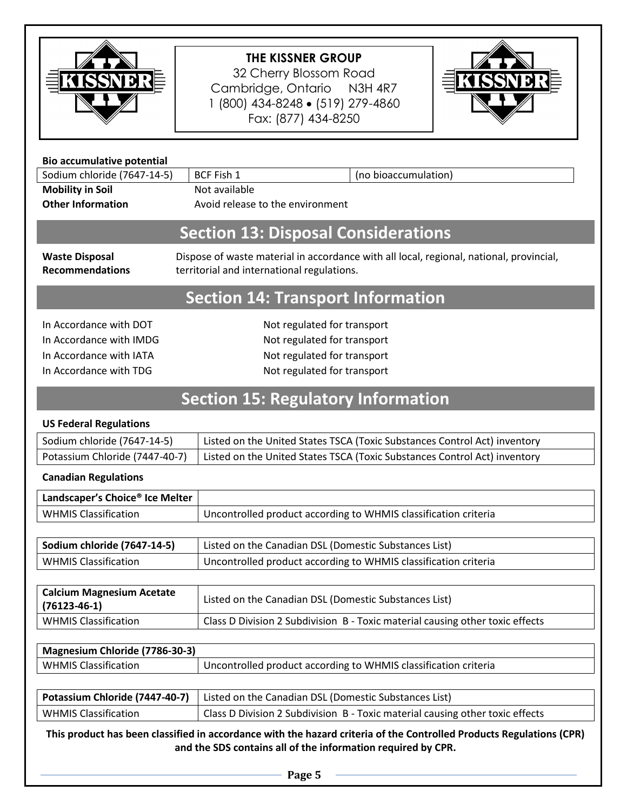

32 Cherry Blossom Road Cambridge, Ontario N3H 4R7 1 (800) 434-8248 (519) 279-4860 Fax: (877) 434-8250



| <b>Bio accumulative potential</b>                                                                                    |                                                                                                                                       |
|----------------------------------------------------------------------------------------------------------------------|---------------------------------------------------------------------------------------------------------------------------------------|
| Sodium chloride (7647-14-5)                                                                                          | <b>BCF Fish 1</b><br>(no bioaccumulation)                                                                                             |
| <b>Mobility in Soil</b>                                                                                              | Not available                                                                                                                         |
| <b>Other Information</b>                                                                                             | Avoid release to the environment                                                                                                      |
| <b>Section 13: Disposal Considerations</b>                                                                           |                                                                                                                                       |
| <b>Waste Disposal</b><br><b>Recommendations</b>                                                                      | Dispose of waste material in accordance with all local, regional, national, provincial,<br>territorial and international regulations. |
| <b>Section 14: Transport Information</b>                                                                             |                                                                                                                                       |
| In Accordance with DOT                                                                                               | Not regulated for transport                                                                                                           |
| In Accordance with IMDG                                                                                              | Not regulated for transport                                                                                                           |
| In Accordance with IATA                                                                                              | Not regulated for transport                                                                                                           |
| In Accordance with TDG                                                                                               | Not regulated for transport                                                                                                           |
| <b>Section 15: Regulatory Information</b>                                                                            |                                                                                                                                       |
| <b>US Federal Regulations</b>                                                                                        |                                                                                                                                       |
| Sodium chloride (7647-14-5)                                                                                          | Listed on the United States TSCA (Toxic Substances Control Act) inventory                                                             |
| Potassium Chloride (7447-40-7)                                                                                       | Listed on the United States TSCA (Toxic Substances Control Act) inventory                                                             |
| <b>Canadian Regulations</b>                                                                                          |                                                                                                                                       |
| Landscaper's Choice® Ice Melter                                                                                      |                                                                                                                                       |
| <b>WHMIS Classification</b>                                                                                          | Uncontrolled product according to WHMIS classification criteria                                                                       |
|                                                                                                                      |                                                                                                                                       |
| Sodium chloride (7647-14-5)                                                                                          | Listed on the Canadian DSL (Domestic Substances List)                                                                                 |
| <b>WHMIS Classification</b>                                                                                          | Uncontrolled product according to WHMIS classification criteria                                                                       |
| <b>Calcium Magnesium Acetate</b><br>$(76123 - 46 - 1)$                                                               | Listed on the Canadian DSL (Domestic Substances List)                                                                                 |
| <b>WHMIS Classification</b>                                                                                          | Class D Division 2 Subdivision B - Toxic material causing other toxic effects                                                         |
| Magnesium Chloride (7786-30-3)                                                                                       |                                                                                                                                       |
| <b>WHMIS Classification</b>                                                                                          | Uncontrolled product according to WHMIS classification criteria                                                                       |
|                                                                                                                      |                                                                                                                                       |
| Potassium Chloride (7447-40-7)                                                                                       | Listed on the Canadian DSL (Domestic Substances List)                                                                                 |
| <b>WHMIS Classification</b>                                                                                          | Class D Division 2 Subdivision B - Toxic material causing other toxic effects                                                         |
| This product has been classified in accordance with the hazard criteria of the Controlled Products Regulations (CPR) |                                                                                                                                       |

**This product has been classified in accordance with the hazard criteria of the Controlled Products Regulations (CPR) and the SDS contains all of the information required by CPR.**